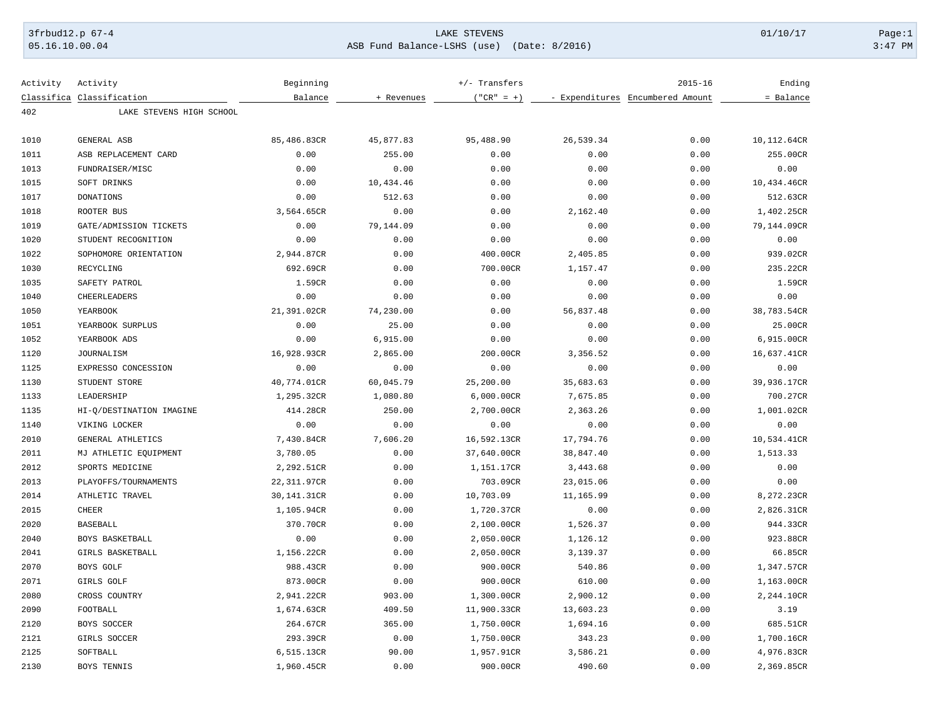## 3frbud12.p 67-4 LAKE STEVENS 01/10/17 Page:1 05.16.10.00.04 ASB Fund Balance-LSHS (use) (Date: 8/2016) 3:47 PM

| Activity | Activity                  | Beginning   |            | +/- Transfers |           | $2015 - 16$                      | Ending      |
|----------|---------------------------|-------------|------------|---------------|-----------|----------------------------------|-------------|
|          | Classifica Classification | Balance     | + Revenues | $("CR" = +)$  |           | - Expenditures Encumbered Amount | = Balance   |
| 402      | LAKE STEVENS HIGH SCHOOL  |             |            |               |           |                                  |             |
|          |                           |             |            |               |           |                                  |             |
| 1010     | GENERAL ASB               | 85,486.83CR | 45,877.83  | 95,488.90     | 26,539.34 | 0.00                             | 10,112.64CR |
| 1011     | ASB REPLACEMENT CARD      | 0.00        | 255.00     | 0.00          | 0.00      | 0.00                             | 255.00CR    |
| 1013     | FUNDRAISER/MISC           | 0.00        | 0.00       | 0.00          | 0.00      | 0.00                             | 0.00        |
| 1015     | SOFT DRINKS               | 0.00        | 10,434.46  | 0.00          | 0.00      | 0.00                             | 10,434.46CR |
| 1017     | <b>DONATIONS</b>          | 0.00        | 512.63     | 0.00          | 0.00      | 0.00                             | 512.63CR    |
| 1018     | ROOTER BUS                | 3,564.65CR  | 0.00       | 0.00          | 2,162.40  | 0.00                             | 1,402.25CR  |
| 1019     | GATE/ADMISSION TICKETS    | 0.00        | 79,144.09  | 0.00          | 0.00      | 0.00                             | 79,144.09CR |
| 1020     | STUDENT RECOGNITION       | 0.00        | 0.00       | 0.00          | 0.00      | 0.00                             | 0.00        |
| 1022     | SOPHOMORE ORIENTATION     | 2,944.87CR  | 0.00       | 400.00CR      | 2,405.85  | 0.00                             | 939.02CR    |
| 1030     | RECYCLING                 | 692.69CR    | 0.00       | 700.00CR      | 1,157.47  | 0.00                             | 235.22CR    |
| 1035     | SAFETY PATROL             | 1.59CR      | 0.00       | 0.00          | 0.00      | 0.00                             | 1.59CR      |
| 1040     | CHEERLEADERS              | 0.00        | 0.00       | 0.00          | 0.00      | 0.00                             | 0.00        |
| 1050     | YEARBOOK                  | 21,391.02CR | 74,230.00  | 0.00          | 56,837.48 | 0.00                             | 38,783.54CR |
| 1051     | YEARBOOK SURPLUS          | 0.00        | 25.00      | 0.00          | 0.00      | 0.00                             | 25.00CR     |
| 1052     | YEARBOOK ADS              | 0.00        | 6,915.00   | 0.00          | 0.00      | 0.00                             | 6,915.00CR  |
| 1120     | <b>JOURNALISM</b>         | 16,928.93CR | 2,865.00   | 200.00CR      | 3,356.52  | 0.00                             | 16,637.41CR |
| 1125     | EXPRESSO CONCESSION       | 0.00        | 0.00       | 0.00          | 0.00      | 0.00                             | 0.00        |
| 1130     | STUDENT STORE             | 40,774.01CR | 60,045.79  | 25,200.00     | 35,683.63 | 0.00                             | 39,936.17CR |
| 1133     | LEADERSHIP                | 1,295.32CR  | 1,080.80   | 6,000.00CR    | 7,675.85  | 0.00                             | 700.27CR    |
| 1135     | HI-O/DESTINATION IMAGINE  | 414.28CR    | 250.00     | 2,700.00CR    | 2,363.26  | 0.00                             | 1,001.02CR  |
| 1140     | VIKING LOCKER             | 0.00        | 0.00       | 0.00          | 0.00      | 0.00                             | 0.00        |
| 2010     | GENERAL ATHLETICS         | 7,430.84CR  | 7,606.20   | 16,592.13CR   | 17,794.76 | 0.00                             | 10,534.41CR |
| 2011     | MJ ATHLETIC EQUIPMENT     | 3,780.05    | 0.00       | 37,640.00CR   | 38,847.40 | 0.00                             | 1,513.33    |
| 2012     | SPORTS MEDICINE           | 2,292.51CR  | 0.00       | 1,151.17CR    | 3,443.68  | 0.00                             | 0.00        |
| 2013     | PLAYOFFS/TOURNAMENTS      | 22,311.97CR | 0.00       | 703.09CR      | 23,015.06 | 0.00                             | 0.00        |
| 2014     | ATHLETIC TRAVEL           | 30,141.31CR | 0.00       | 10,703.09     | 11,165.99 | 0.00                             | 8,272.23CR  |
| 2015     | <b>CHEER</b>              | 1,105.94CR  | 0.00       | 1,720.37CR    | 0.00      | 0.00                             | 2,826.31CR  |
| 2020     | <b>BASEBALL</b>           | 370.70CR    | 0.00       | 2,100.00CR    | 1,526.37  | 0.00                             | 944.33CR    |
| 2040     | BOYS BASKETBALL           | 0.00        | 0.00       | 2,050.00CR    | 1,126.12  | 0.00                             | 923.88CR    |
| 2041     | GIRLS BASKETBALL          | 1,156.22CR  | 0.00       | 2,050.00CR    | 3,139.37  | 0.00                             | 66.85CR     |
| 2070     | BOYS GOLF                 | 988.43CR    | 0.00       | 900.00CR      | 540.86    | 0.00                             | 1,347.57CR  |
| 2071     | GIRLS GOLF                | 873.00CR    | 0.00       | 900.00CR      | 610.00    | 0.00                             | 1,163.00CR  |
| 2080     | CROSS COUNTRY             | 2,941.22CR  | 903.00     | 1,300.00CR    | 2,900.12  | 0.00                             | 2,244.10CR  |
|          |                           |             |            |               |           |                                  |             |
| 2090     | FOOTBALL                  | 1,674.63CR  | 409.50     | 11,900.33CR   | 13,603.23 | 0.00                             | 3.19        |
| 2120     | BOYS SOCCER               | 264.67CR    | 365.00     | 1,750.00CR    | 1,694.16  | 0.00                             | 685.51CR    |
| 2121     | GIRLS SOCCER              | 293.39CR    | 0.00       | 1,750.00CR    | 343.23    | 0.00                             | 1,700.16CR  |
| 2125     | SOFTBALL                  | 6,515.13CR  | 90.00      | 1,957.91CR    | 3,586.21  | 0.00                             | 4,976.83CR  |
| 2130     | BOYS TENNIS               | 1,960.45CR  | 0.00       | 900.00CR      | 490.60    | 0.00                             | 2,369.85CR  |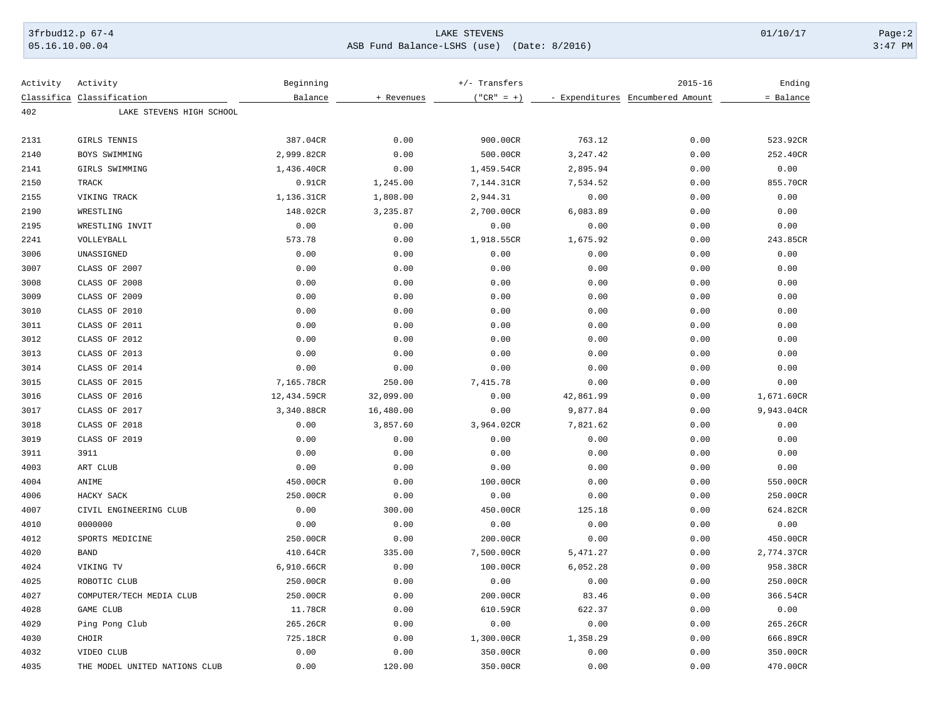## 3frbud12.p 67-4 LAKE STEVENS 01/10/17 Page:2 05.16.10.00.04 ASB Fund Balance-LSHS (use) (Date: 8/2016) 3:47 PM

| Activity | Activity                      | Beginning   |            | $+/-$ Transfers |           | $2015 - 16$                      | Ending     |
|----------|-------------------------------|-------------|------------|-----------------|-----------|----------------------------------|------------|
|          | Classifica Classification     | Balance     | + Revenues | $("CR" = +)$    |           | - Expenditures Encumbered Amount | = Balance  |
| 402      | LAKE STEVENS HIGH SCHOOL      |             |            |                 |           |                                  |            |
|          |                               |             |            |                 |           |                                  |            |
| 2131     | GIRLS TENNIS                  | 387.04CR    | 0.00       | 900.00CR        | 763.12    | 0.00                             | 523.92CR   |
| 2140     | BOYS SWIMMING                 | 2,999.82CR  | 0.00       | 500.00CR        | 3,247.42  | 0.00                             | 252.40CR   |
| 2141     | GIRLS SWIMMING                | 1,436.40CR  | 0.00       | 1,459.54CR      | 2,895.94  | 0.00                             | 0.00       |
| 2150     | TRACK                         | 0.91CR      | 1,245.00   | 7,144.31CR      | 7,534.52  | 0.00                             | 855.70CR   |
| 2155     | VIKING TRACK                  | 1,136.31CR  | 1,808.00   | 2,944.31        | 0.00      | 0.00                             | 0.00       |
| 2190     | WRESTLING                     | 148.02CR    | 3,235.87   | 2,700.00CR      | 6,083.89  | 0.00                             | 0.00       |
| 2195     | WRESTLING INVIT               | 0.00        | 0.00       | 0.00            | 0.00      | 0.00                             | 0.00       |
| 2241     | VOLLEYBALL                    | 573.78      | 0.00       | 1,918.55CR      | 1,675.92  | 0.00                             | 243.85CR   |
| 3006     | UNASSIGNED                    | 0.00        | 0.00       | 0.00            | 0.00      | 0.00                             | 0.00       |
| 3007     | CLASS OF 2007                 | 0.00        | 0.00       | 0.00            | 0.00      | 0.00                             | 0.00       |
| 3008     | CLASS OF 2008                 | 0.00        | 0.00       | 0.00            | 0.00      | 0.00                             | 0.00       |
| 3009     | CLASS OF 2009                 | 0.00        | 0.00       | 0.00            | 0.00      | 0.00                             | 0.00       |
| 3010     | CLASS OF 2010                 | 0.00        | 0.00       | 0.00            | 0.00      | 0.00                             | 0.00       |
| 3011     | CLASS OF 2011                 | 0.00        | 0.00       | 0.00            | 0.00      | 0.00                             | 0.00       |
| 3012     | CLASS OF 2012                 | 0.00        | 0.00       | 0.00            | 0.00      | 0.00                             | 0.00       |
| 3013     | CLASS OF 2013                 | 0.00        | 0.00       | 0.00            | 0.00      | 0.00                             | 0.00       |
| 3014     | CLASS OF 2014                 | 0.00        | 0.00       | 0.00            | 0.00      | 0.00                             | 0.00       |
| 3015     | CLASS OF 2015                 | 7,165.78CR  | 250.00     | 7,415.78        | 0.00      | 0.00                             | 0.00       |
| 3016     | CLASS OF 2016                 | 12,434.59CR | 32,099.00  | 0.00            | 42,861.99 | 0.00                             | 1,671.60CR |
| 3017     | CLASS OF 2017                 | 3,340.88CR  | 16,480.00  | 0.00            | 9,877.84  | 0.00                             | 9,943.04CR |
| 3018     | CLASS OF 2018                 | 0.00        | 3,857.60   | 3,964.02CR      | 7,821.62  | 0.00                             | 0.00       |
| 3019     | CLASS OF 2019                 | 0.00        | 0.00       | 0.00            | 0.00      | 0.00                             | 0.00       |
| 3911     | 3911                          | 0.00        | 0.00       | 0.00            | 0.00      | 0.00                             | 0.00       |
| 4003     | ART CLUB                      | 0.00        | 0.00       | 0.00            | 0.00      | 0.00                             | 0.00       |
| 4004     | ANIME                         | 450.00CR    | 0.00       | 100.00CR        | 0.00      | 0.00                             | 550.00CR   |
| 4006     | HACKY SACK                    | 250.00CR    | 0.00       | 0.00            | 0.00      | 0.00                             | 250.00CR   |
| 4007     | CIVIL ENGINEERING CLUB        | 0.00        | 300.00     | 450.00CR        | 125.18    | 0.00                             | 624.82CR   |
| 4010     | 0000000                       | 0.00        | 0.00       | 0.00            | 0.00      | 0.00                             | 0.00       |
| 4012     | SPORTS MEDICINE               | 250.00CR    | 0.00       | 200.00CR        | 0.00      | 0.00                             | 450.00CR   |
| 4020     | <b>BAND</b>                   | 410.64CR    | 335.00     | 7,500.00CR      | 5,471.27  | 0.00                             | 2,774.37CR |
| 4024     | VIKING TV                     | 6,910.66CR  | 0.00       | 100.00CR        | 6,052.28  | 0.00                             | 958.38CR   |
| 4025     | ROBOTIC CLUB                  | 250.00CR    | 0.00       | 0.00            | 0.00      | 0.00                             | 250.00CR   |
| 4027     | COMPUTER/TECH MEDIA CLUB      | 250.00CR    | 0.00       | 200.00CR        | 83.46     | 0.00                             | 366.54CR   |
| 4028     | GAME CLUB                     | 11.78CR     | 0.00       | 610.59CR        | 622.37    | 0.00                             | 0.00       |
| 4029     | Ping Pong Club                | 265.26CR    | 0.00       | 0.00            | 0.00      | 0.00                             | 265.26CR   |
| 4030     | CHOIR                         | 725.18CR    | 0.00       | 1,300.00CR      | 1,358.29  | 0.00                             | 666.89CR   |
| 4032     | VIDEO CLUB                    | 0.00        | 0.00       | 350.00CR        | 0.00      | 0.00                             | 350.00CR   |
| 4035     | THE MODEL UNITED NATIONS CLUB | 0.00        | 120.00     | 350.00CR        | 0.00      | 0.00                             | 470.00CR   |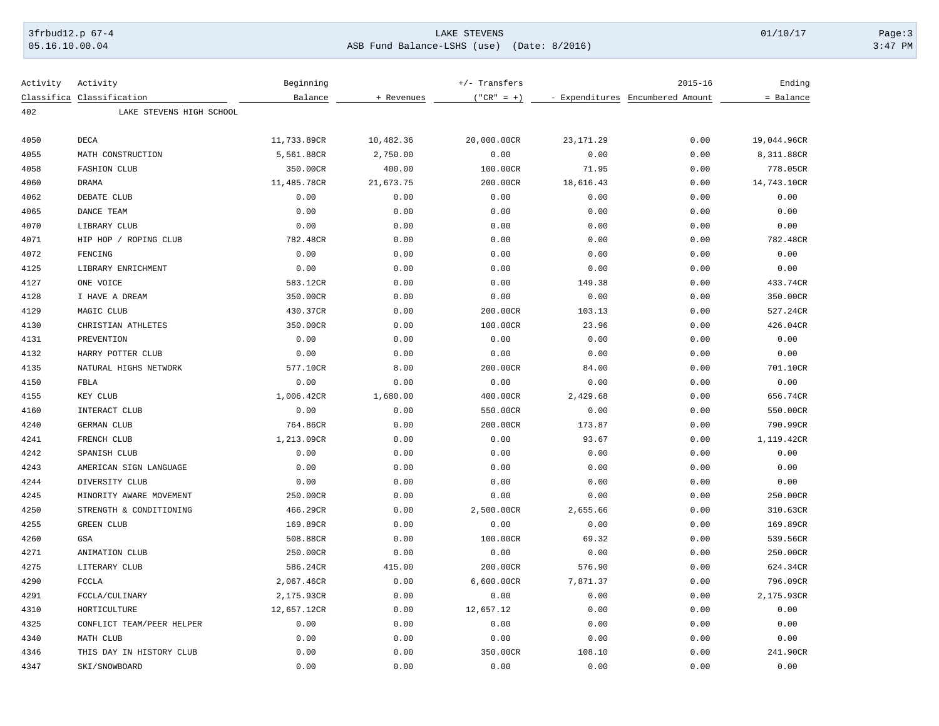## 3frbud12.p 67-4 LAKE STEVENS 01/10/17 Page:3 05.16.10.00.04 ASB Fund Balance-LSHS (use) (Date: 8/2016) 3:47 PM

| Activity | Activity                  | Beginning   |            | $+/-$ Transfers |            | $2015 - 16$                      | Ending      |
|----------|---------------------------|-------------|------------|-----------------|------------|----------------------------------|-------------|
|          | Classifica Classification | Balance     | + Revenues | $("CR" = +)$    |            | - Expenditures Encumbered Amount | = Balance   |
| 402      | LAKE STEVENS HIGH SCHOOL  |             |            |                 |            |                                  |             |
| 4050     | DECA                      | 11,733.89CR | 10,482.36  | 20,000.00CR     | 23, 171.29 | 0.00                             | 19,044.96CR |
| 4055     | MATH CONSTRUCTION         | 5,561.88CR  | 2,750.00   | 0.00            | 0.00       | 0.00                             | 8,311.88CR  |
| 4058     | <b>FASHION CLUB</b>       | 350.00CR    | 400.00     | 100.00CR        | 71.95      | 0.00                             | 778.05CR    |
| 4060     | <b>DRAMA</b>              | 11,485.78CR | 21,673.75  | 200.00CR        | 18,616.43  | 0.00                             | 14,743.10CR |
| 4062     | DEBATE CLUB               | 0.00        | 0.00       | 0.00            | 0.00       | 0.00                             | 0.00        |
| 4065     | DANCE TEAM                | 0.00        | 0.00       | 0.00            | 0.00       | 0.00                             | 0.00        |
| 4070     | LIBRARY CLUB              | 0.00        | 0.00       | 0.00            | 0.00       | 0.00                             | 0.00        |
| 4071     | HIP HOP / ROPING CLUB     | 782.48CR    | 0.00       | 0.00            | 0.00       | 0.00                             | 782.48CR    |
| 4072     | FENCING                   | 0.00        | 0.00       | 0.00            | 0.00       | 0.00                             | 0.00        |
| 4125     | LIBRARY ENRICHMENT        | 0.00        | 0.00       | 0.00            | 0.00       | 0.00                             | 0.00        |
| 4127     | ONE VOICE                 | 583.12CR    | 0.00       | 0.00            | 149.38     | 0.00                             | 433.74CR    |
| 4128     | I HAVE A DREAM            | 350.00CR    | 0.00       | 0.00            | 0.00       | 0.00                             | 350.00CR    |
| 4129     | MAGIC CLUB                | 430.37CR    | 0.00       | 200.00CR        | 103.13     | 0.00                             | 527.24CR    |
| 4130     | CHRISTIAN ATHLETES        | 350.00CR    | 0.00       | 100.00CR        | 23.96      | 0.00                             | 426.04CR    |
| 4131     | PREVENTION                | 0.00        | 0.00       | 0.00            | 0.00       | 0.00                             | 0.00        |
| 4132     | HARRY POTTER CLUB         | 0.00        | 0.00       | 0.00            | 0.00       | 0.00                             | 0.00        |
| 4135     | NATURAL HIGHS NETWORK     | 577.10CR    | 8.00       | 200.00CR        | 84.00      | 0.00                             | 701.10CR    |
| 4150     | <b>FBLA</b>               | 0.00        | 0.00       | 0.00            | 0.00       | 0.00                             | 0.00        |
| 4155     | KEY CLUB                  | 1,006.42CR  | 1,680.00   | 400.00CR        | 2,429.68   | 0.00                             | 656.74CR    |
| 4160     | INTERACT CLUB             | 0.00        | 0.00       | 550.00CR        | 0.00       | 0.00                             | 550.00CR    |
| 4240     | GERMAN CLUB               | 764.86CR    | 0.00       | 200.00CR        | 173.87     | 0.00                             | 790.99CR    |
| 4241     | FRENCH CLUB               | 1,213.09CR  | 0.00       | 0.00            | 93.67      | 0.00                             | 1,119.42CR  |
| 4242     | SPANISH CLUB              | 0.00        | 0.00       | 0.00            | 0.00       | 0.00                             | 0.00        |
| 4243     | AMERICAN SIGN LANGUAGE    | 0.00        | 0.00       | 0.00            | 0.00       | 0.00                             | 0.00        |
| 4244     | DIVERSITY CLUB            | 0.00        | 0.00       | 0.00            | 0.00       | 0.00                             | 0.00        |
| 4245     | MINORITY AWARE MOVEMENT   | 250.00CR    | 0.00       | 0.00            | 0.00       | 0.00                             | 250.00CR    |
| 4250     | STRENGTH & CONDITIONING   | 466.29CR    | 0.00       | 2,500.00CR      | 2,655.66   | 0.00                             | 310.63CR    |
| 4255     | <b>GREEN CLUB</b>         | 169.89CR    | 0.00       | 0.00            | 0.00       | 0.00                             | 169.89CR    |
| 4260     | GSA                       | 508.88CR    | 0.00       | 100.00CR        | 69.32      | 0.00                             | 539.56CR    |
| 4271     | ANIMATION CLUB            | 250.00CR    | 0.00       | 0.00            | 0.00       | 0.00                             | 250.00CR    |
| 4275     | LITERARY CLUB             | 586.24CR    | 415.00     | 200.00CR        | 576.90     | 0.00                             | 624.34CR    |
| 4290     | <b>FCCLA</b>              | 2,067.46CR  | 0.00       | 6,600.00CR      | 7,871.37   | 0.00                             | 796.09CR    |
| 4291     | FCCLA/CULINARY            | 2,175.93CR  | 0.00       | 0.00            | 0.00       | 0.00                             | 2,175.93CR  |
| 4310     | HORTICULTURE              | 12,657.12CR | 0.00       | 12,657.12       | 0.00       | 0.00                             | 0.00        |
| 4325     | CONFLICT TEAM/PEER HELPER | 0.00        | 0.00       | 0.00            | 0.00       | 0.00                             | 0.00        |
| 4340     | MATH CLUB                 | 0.00        | 0.00       | 0.00            | 0.00       | 0.00                             | 0.00        |
| 4346     | THIS DAY IN HISTORY CLUB  | 0.00        | 0.00       | 350.00CR        | 108.10     | 0.00                             | 241.90CR    |
| 4347     | SKI/SNOWBOARD             | 0.00        | 0.00       | 0.00            | 0.00       | 0.00                             | 0.00        |